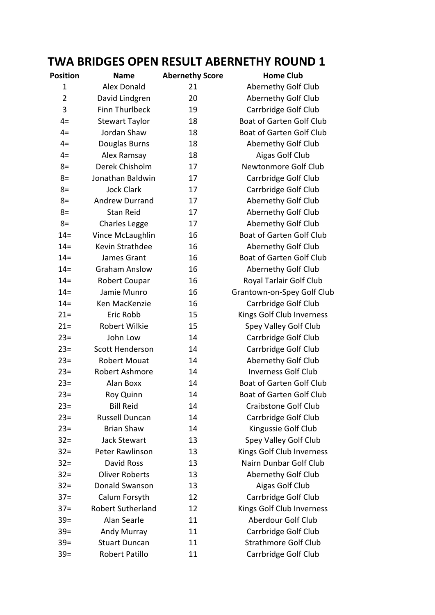## **TWA BRIDGES OPEN RESULT ABERNETHY ROUND 1**

| Position       | <b>Name</b>              | <b>Abernethy Score</b> | <b>Home Club</b>                 |
|----------------|--------------------------|------------------------|----------------------------------|
| 1              | <b>Alex Donald</b>       | 21                     | Abernethy Golf Club              |
| $\overline{2}$ | David Lindgren           | 20                     | Abernethy Golf Club              |
| 3              | <b>Finn Thurlbeck</b>    | 19                     | Carrbridge Golf Club             |
| $4=$           | <b>Stewart Taylor</b>    | 18                     | Boat of Garten Golf Club         |
| $4=$           | Jordan Shaw              | 18                     | Boat of Garten Golf Club         |
| $4=$           | Douglas Burns            | 18                     | Abernethy Golf Club              |
| $4=$           | Alex Ramsay              | 18                     | Aigas Golf Club                  |
| $8=$           | Derek Chisholm           | 17                     | Newtonmore Golf Club             |
| $8=$           | Jonathan Baldwin         | 17                     | Carrbridge Golf Club             |
| $8=$           | <b>Jock Clark</b>        | 17                     | Carrbridge Golf Club             |
| $8=$           | <b>Andrew Durrand</b>    | 17                     | Abernethy Golf Club              |
| $8=$           | <b>Stan Reid</b>         | 17                     | Abernethy Golf Club              |
| $8=$           | <b>Charles Legge</b>     | 17                     | Abernethy Golf Club              |
| $14 =$         | Vince McLaughlin         | 16                     | Boat of Garten Golf Club         |
| $14 =$         | Kevin Strathdee          | 16                     | Abernethy Golf Club              |
| $14 =$         | James Grant              | 16                     | Boat of Garten Golf Club         |
| $14 =$         | <b>Graham Anslow</b>     | 16                     | Abernethy Golf Club              |
| $14 =$         | Robert Coupar            | 16                     | Royal Tarlair Golf Club          |
| $14 =$         | Jamie Munro              | 16                     | Grantown-on-Spey Golf Club       |
| $14 =$         | Ken MacKenzie            | 16                     | Carrbridge Golf Club             |
| $21 =$         | Eric Robb                | 15                     | Kings Golf Club Inverness        |
| $21 =$         | Robert Wilkie            | 15                     | Spey Valley Golf Club            |
| $23 =$         | John Low                 | 14                     | Carrbridge Golf Club             |
| $23=$          | Scott Henderson          | 14                     | Carrbridge Golf Club             |
| $23=$          | <b>Robert Mouat</b>      | 14                     | Abernethy Golf Club              |
| $23=$          | Robert Ashmore           | 14                     | <b>Inverness Golf Club</b>       |
| $23=$          | Alan Boxx                | 14                     | Boat of Garten Golf Club         |
| $23=$          | Roy Quinn                | 14                     | <b>Boat of Garten Golf Club</b>  |
| $23=$          | <b>Bill Reid</b>         | 14                     | Craibstone Golf Club             |
| $23=$          | Russell Duncan           | 14                     | Carrbridge Golf Club             |
| $23=$          | <b>Brian Shaw</b>        | 14                     | Kingussie Golf Club              |
| $32 =$         | <b>Jack Stewart</b>      | 13                     | Spey Valley Golf Club            |
| $32 =$         | Peter Rawlinson          | 13                     | Kings Golf Club Inverness        |
| $32 =$         | David Ross               | 13                     | Nairn Dunbar Golf Club           |
| $32 =$         | <b>Oliver Roberts</b>    | 13                     | Abernethy Golf Club              |
| $32 =$         | Donald Swanson           | 13                     | Aigas Golf Club                  |
| $37 =$         | Calum Forsyth            | 12                     | Carrbridge Golf Club             |
| $37 =$         | <b>Robert Sutherland</b> | 12                     | <b>Kings Golf Club Inverness</b> |
| $39 =$         | Alan Searle              | 11                     | Aberdour Golf Club               |
| $39=$          | Andy Murray              | 11                     | Carrbridge Golf Club             |
| $39 =$         | <b>Stuart Duncan</b>     | 11                     | <b>Strathmore Golf Club</b>      |
| $39 =$         | Robert Patillo           | 11                     | Carrbridge Golf Club             |